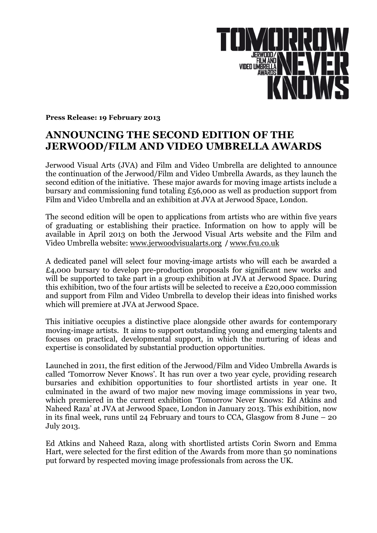

**Press Release: 19 February 2013** 

## **ANNOUNCING THE SECOND EDITION OF THE JERWOOD/FILM AND VIDEO UMBRELLA AWARDS**

Jerwood Visual Arts (JVA) and Film and Video Umbrella are delighted to announce the continuation of the Jerwood/Film and Video Umbrella Awards, as they launch the second edition of the initiative. These major awards for moving image artists include a bursary and commissioning fund totaling £56,000 as well as production support from Film and Video Umbrella and an exhibition at JVA at Jerwood Space, London.

The second edition will be open to applications from artists who are within five years of graduating or establishing their practice. Information on how to apply will be available in April 2013 on both the Jerwood Visual Arts website and the Film and Video Umbrella website: www.jerwoodvisualarts.org / www.fvu.co.uk

A dedicated panel will select four moving-image artists who will each be awarded a £4,000 bursary to develop pre-production proposals for significant new works and will be supported to take part in a group exhibition at JVA at Jerwood Space. During this exhibition, two of the four artists will be selected to receive a £20,000 commission and support from Film and Video Umbrella to develop their ideas into finished works which will premiere at JVA at Jerwood Space.

This initiative occupies a distinctive place alongside other awards for contemporary moving-image artists. It aims to support outstanding young and emerging talents and focuses on practical, developmental support, in which the nurturing of ideas and expertise is consolidated by substantial production opportunities.

Launched in 2011, the first edition of the Jerwood/Film and Video Umbrella Awards is called 'Tomorrow Never Knows'*.* It has run over a two year cycle, providing research bursaries and exhibition opportunities to four shortlisted artists in year one. It culminated in the award of two major new moving image commissions in year two, which premiered in the current exhibition 'Tomorrow Never Knows: Ed Atkins and Naheed Raza' at JVA at Jerwood Space, London in January 2013. This exhibition, now in its final week, runs until 24 February and tours to CCA, Glasgow from 8 June – 20 July 2013.

Ed Atkins and Naheed Raza, along with shortlisted artists Corin Sworn and Emma Hart, were selected for the first edition of the Awards from more than 50 nominations put forward by respected moving image professionals from across the UK.